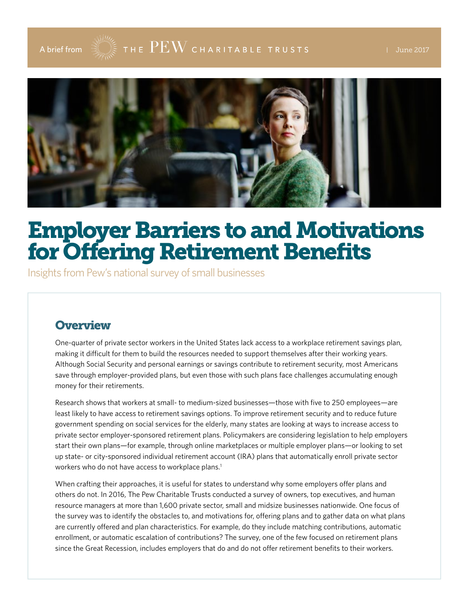

# Employer Barriers to and Motivations for Offering Retirement Benefits

Insights from Pew's national survey of small businesses

### **Overview**

One-quarter of private sector workers in the United States lack access to a workplace retirement savings plan, making it difficult for them to build the resources needed to support themselves after their working years. Although Social Security and personal earnings or savings contribute to retirement security, most Americans save through employer-provided plans, but even those with such plans face challenges accumulating enough money for their retirements.

Research shows that workers at small- to medium-sized businesses—those with five to 250 employees—are least likely to have access to retirement savings options. To improve retirement security and to reduce future government spending on social services for the elderly, many states are looking at ways to increase access to private sector employer-sponsored retirement plans. Policymakers are considering legislation to help employers start their own plans—for example, through online marketplaces or multiple employer plans—or looking to set up state- or city-sponsored individual retirement account (IRA) plans that automatically enroll private sector workers who do not have access to workplace plans.<sup>1</sup>

When crafting their approaches, it is useful for states to understand why some employers offer plans and others do not. In 2016, The Pew Charitable Trusts conducted a survey of owners, top executives, and human resource managers at more than 1,600 private sector, small and midsize businesses nationwide. One focus of the survey was to identify the obstacles to, and motivations for, offering plans and to gather data on what plans are currently offered and plan characteristics. For example, do they include matching contributions, automatic enrollment, or automatic escalation of contributions? The survey, one of the few focused on retirement plans since the Great Recession, includes employers that do and do not offer retirement benefits to their workers.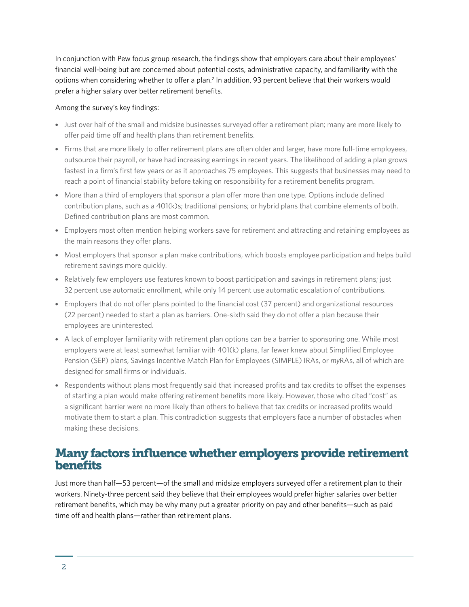In conjunction with Pew focus group research, the findings show that employers care about their employees' financial well-being but are concerned about potential costs, administrative capacity, and familiarity with the options when considering whether to offer a plan.<sup>2</sup> In addition, 93 percent believe that their workers would prefer a higher salary over better retirement benefits.

#### Among the survey's key findings:

- Just over half of the small and midsize businesses surveyed offer a retirement plan; many are more likely to offer paid time off and health plans than retirement benefits.
- Firms that are more likely to offer retirement plans are often older and larger, have more full-time employees, outsource their payroll, or have had increasing earnings in recent years. The likelihood of adding a plan grows fastest in a firm's first few years or as it approaches 75 employees. This suggests that businesses may need to reach a point of financial stability before taking on responsibility for a retirement benefits program.
- More than a third of employers that sponsor a plan offer more than one type. Options include defined contribution plans, such as a 401(k)s; traditional pensions; or hybrid plans that combine elements of both. Defined contribution plans are most common.
- Employers most often mention helping workers save for retirement and attracting and retaining employees as the main reasons they offer plans.
- Most employers that sponsor a plan make contributions, which boosts employee participation and helps build retirement savings more quickly.
- Relatively few employers use features known to boost participation and savings in retirement plans; just 32 percent use automatic enrollment, while only 14 percent use automatic escalation of contributions.
- Employers that do not offer plans pointed to the financial cost (37 percent) and organizational resources (22 percent) needed to start a plan as barriers. One-sixth said they do not offer a plan because their employees are uninterested.
- A lack of employer familiarity with retirement plan options can be a barrier to sponsoring one. While most employers were at least somewhat familiar with 401(k) plans, far fewer knew about Simplified Employee Pension (SEP) plans, Savings Incentive Match Plan for Employees (SIMPLE) IRAs, or *my*RAs, all of which are designed for small firms or individuals.
- Respondents without plans most frequently said that increased profits and tax credits to offset the expenses of starting a plan would make offering retirement benefits more likely. However, those who cited "cost" as a significant barrier were no more likely than others to believe that tax credits or increased profits would motivate them to start a plan. This contradiction suggests that employers face a number of obstacles when making these decisions.

### Many factors influence whether employers provide retirement **benefits**

Just more than half—53 percent—of the small and midsize employers surveyed offer a retirement plan to their workers. Ninety-three percent said they believe that their employees would prefer higher salaries over better retirement benefits, which may be why many put a greater priority on pay and other benefits—such as paid time off and health plans—rather than retirement plans.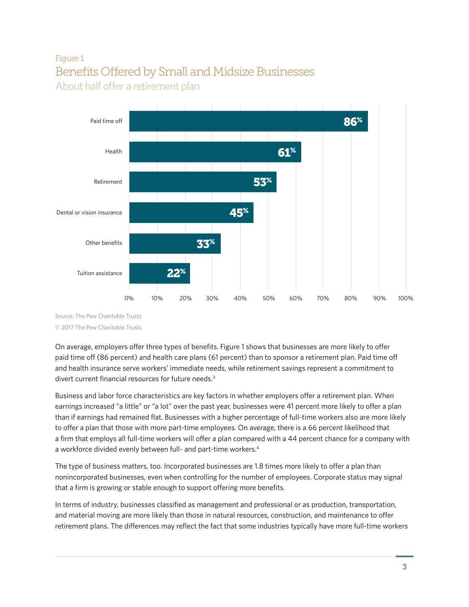# Figure 1 Benefits Offered by Small and Midsize Businesses About half offer a retirement plan



Source: The Pew Charitable Trusts © 2017 The Pew Charitable Trusts

On average, employers offer three types of benefits. Figure 1 shows that businesses are more likely to offer paid time off (86 percent) and health care plans (61 percent) than to sponsor a retirement plan. Paid time off and health insurance serve workers' immediate needs, while retirement savings represent a commitment to divert current financial resources for future needs.<sup>3</sup>

Business and labor force characteristics are key factors in whether employers offer a retirement plan. When earnings increased "a little" or "a lot" over the past year, businesses were 41 percent more likely to offer a plan than if earnings had remained flat. Businesses with a higher percentage of full-time workers also are more likely to offer a plan that those with more part-time employees. On average, there is a 66 percent likelihood that a firm that employs all full-time workers will offer a plan compared with a 44 percent chance for a company with a workforce divided evenly between full- and part-time workers.4

The type of business matters, too. Incorporated businesses are 1.8 times more likely to offer a plan than nonincorporated businesses, even when controlling for the number of employees. Corporate status may signal that a firm is growing or stable enough to support offering more benefits.

In terms of industry, businesses classified as management and professional or as production, transportation, and material moving are more likely than those in natural resources, construction, and maintenance to offer retirement plans. The differences may reflect the fact that some industries typically have more full-time workers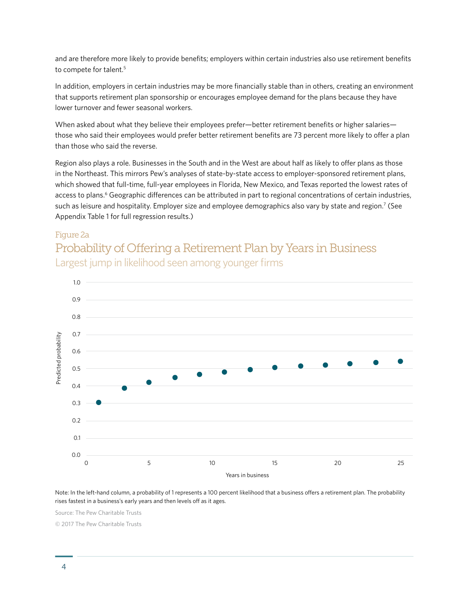and are therefore more likely to provide benefits; employers within certain industries also use retirement benefits to compete for talent.<sup>5</sup>

In addition, employers in certain industries may be more financially stable than in others, creating an environment that supports retirement plan sponsorship or encourages employee demand for the plans because they have lower turnover and fewer seasonal workers.

When asked about what they believe their employees prefer—better retirement benefits or higher salaries those who said their employees would prefer better retirement benefits are 73 percent more likely to offer a plan than those who said the reverse.

Region also plays a role. Businesses in the South and in the West are about half as likely to offer plans as those in the Northeast. This mirrors Pew's analyses of state-by-state access to employer-sponsored retirement plans, which showed that full-time, full-year employees in Florida, New Mexico, and Texas reported the lowest rates of access to plans.<sup>6</sup> Geographic differences can be attributed in part to regional concentrations of certain industries, such as leisure and hospitality. Employer size and employee demographics also vary by state and region.<sup>7</sup> (See Appendix Table 1 for full regression results.)

#### Figure 2a

# Probability of Offering a Retirement Plan by Years in Business Largest jump in likelihood seen among younger firms



Note: In the left-hand column, a probability of 1 represents a 100 percent likelihood that a business offers a retirement plan. The probability rises fastest in a business's early years and then levels off as it ages.

Source: The Pew Charitable Trusts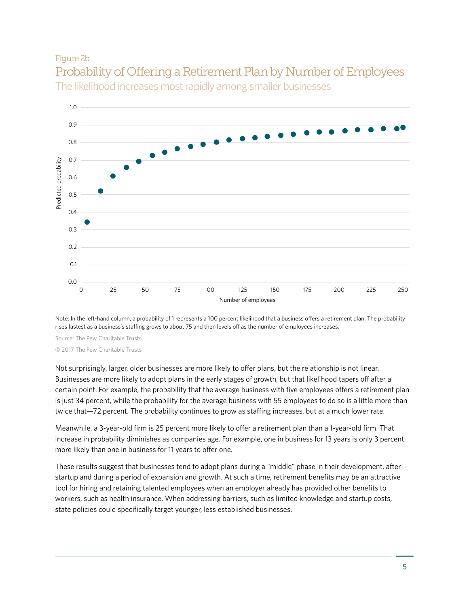#### Figure 2b





Note: In the left-hand column, a probability of 1 represents a 100 percent likelihood that a business offers a retirement plan. The probability rises fastest as a business's staffing grows to about 75 and then levels off as the number of employees increases.

Source: The Pew Charitable Trusts © 2017 The Pew Charitable Trusts

Not surprisingly, larger, older businesses are more likely to offer plans, but the relationship is not linear. Businesses are more likely to adopt plans in the early stages of growth, but that likelihood tapers off after a certain point. For example, the probability that the average business with five employees offers a retirement plan is just 34 percent, while the probability for the average business with 55 employees to do so is a little more than twice that—72 percent. The probability continues to grow as staffing increases, but at a much lower rate.

Meanwhile, a 3-year-old firm is 25 percent more likely to offer a retirement plan than a 1-year-old firm. That increase in probability diminishes as companies age. For example, one in business for 13 years is only 3 percent more likely than one in business for 11 years to offer one.

These results suggest that businesses tend to adopt plans during a "middle" phase in their development, after startup and during a period of expansion and growth. At such a time, retirement benefits may be an attractive tool for hiring and retaining talented employees when an employer already has provided other benefits to workers, such as health insurance. When addressing barriers, such as limited knowledge and startup costs, state policies could specifically target younger, less established businesses.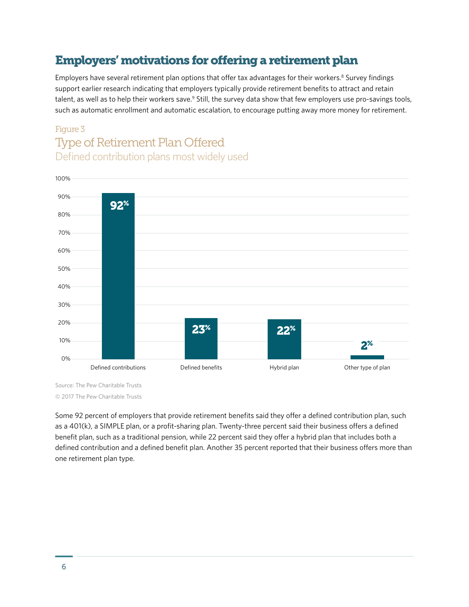# Employers' motivations for offering a retirement plan

Employers have several retirement plan options that offer tax advantages for their workers.<sup>8</sup> Survey findings support earlier research indicating that employers typically provide retirement benefits to attract and retain talent, as well as to help their workers save.<sup>9</sup> Still, the survey data show that few employers use pro-savings tools, such as automatic enrollment and automatic escalation, to encourage putting away more money for retirement.

### Figure 3 Type of Retirement Plan Offered Defined contribution plans most widely used



Source: The Pew Charitable Trusts

© 2017 The Pew Charitable Trusts

Some 92 percent of employers that provide retirement benefits said they offer a defined contribution plan, such as a 401(k), a SIMPLE plan, or a profit-sharing plan. Twenty-three percent said their business offers a defined benefit plan, such as a traditional pension, while 22 percent said they offer a hybrid plan that includes both a defined contribution and a defined benefit plan. Another 35 percent reported that their business offers more than one retirement plan type.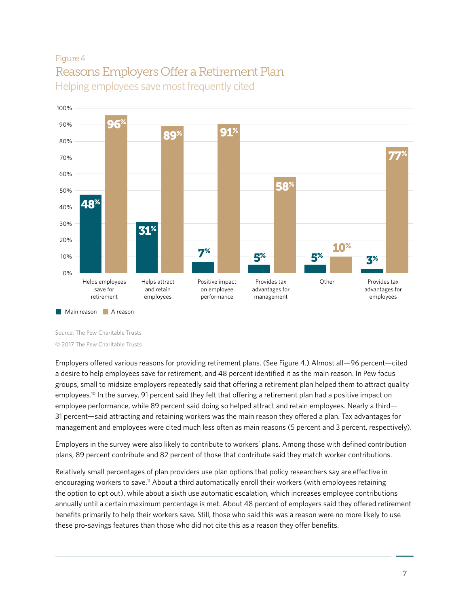# Figure 4 Reasons Employers Offer a Retirement Plan Helping employees save most frequently cited



Source: The Pew Charitable Trusts

© 2017 The Pew Charitable Trusts

Employers offered various reasons for providing retirement plans. (See Figure 4.) Almost all—96 percent—cited a desire to help employees save for retirement, and 48 percent identified it as the main reason. In Pew focus groups, small to midsize employers repeatedly said that offering a retirement plan helped them to attract quality employees.<sup>10</sup> In the survey, 91 percent said they felt that offering a retirement plan had a positive impact on employee performance, while 89 percent said doing so helped attract and retain employees. Nearly a third— 31 percent—said attracting and retaining workers was the main reason they offered a plan. Tax advantages for management and employees were cited much less often as main reasons (5 percent and 3 percent, respectively).

Employers in the survey were also likely to contribute to workers' plans. Among those with defined contribution plans, 89 percent contribute and 82 percent of those that contribute said they match worker contributions.

Relatively small percentages of plan providers use plan options that policy researchers say are effective in encouraging workers to save.11 About a third automatically enroll their workers (with employees retaining the option to opt out), while about a sixth use automatic escalation, which increases employee contributions annually until a certain maximum percentage is met. About 48 percent of employers said they offered retirement benefits primarily to help their workers save. Still, those who said this was a reason were no more likely to use these pro-savings features than those who did not cite this as a reason they offer benefits.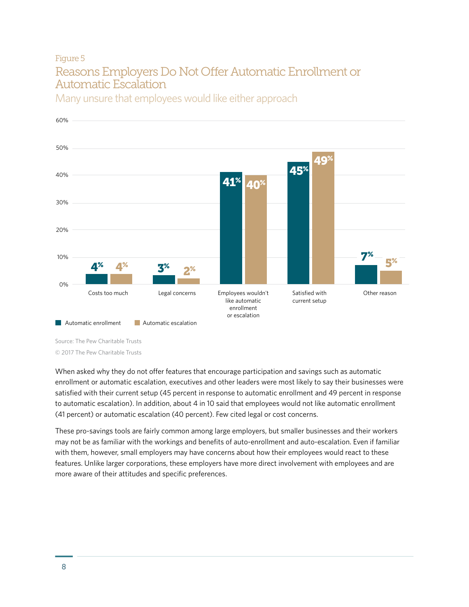### Figure 5 Reasons Employers Do Not Offer Automatic Enrollment or Automatic Escalation



Many unsure that employees would like either approach

Source: The Pew Charitable Trusts © 2017 The Pew Charitable Trusts

When asked why they do not offer features that encourage participation and savings such as automatic enrollment or automatic escalation, executives and other leaders were most likely to say their businesses were satisfied with their current setup (45 percent in response to automatic enrollment and 49 percent in response to automatic escalation). In addition, about 4 in 10 said that employees would not like automatic enrollment (41 percent) or automatic escalation (40 percent). Few cited legal or cost concerns.

These pro-savings tools are fairly common among large employers, but smaller businesses and their workers may not be as familiar with the workings and benefits of auto-enrollment and auto-escalation. Even if familiar with them, however, small employers may have concerns about how their employees would react to these features. Unlike larger corporations, these employers have more direct involvement with employees and are more aware of their attitudes and specific preferences.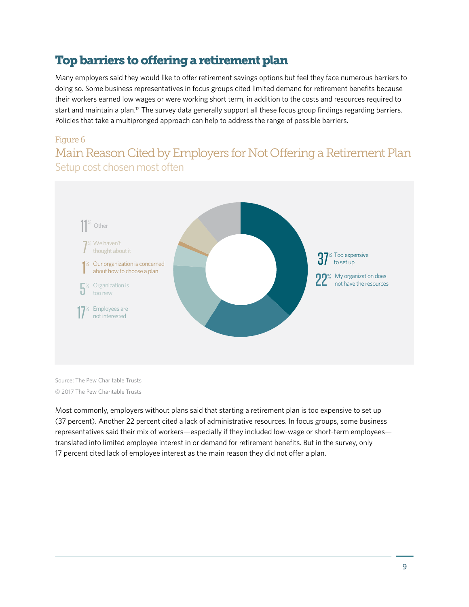# Top barriers to offering a retirement plan

Many employers said they would like to offer retirement savings options but feel they face numerous barriers to doing so. Some business representatives in focus groups cited limited demand for retirement benefits because their workers earned low wages or were working short term, in addition to the costs and resources required to start and maintain a plan.<sup>12</sup> The survey data generally support all these focus group findings regarding barriers. Policies that take a multipronged approach can help to address the range of possible barriers.

#### Figure 6

Main Reason Cited by Employers for Not Offering a Retirement Plan Setup cost chosen most often



Source: The Pew Charitable Trusts © 2017 The Pew Charitable Trusts

Most commonly, employers without plans said that starting a retirement plan is too expensive to set up (37 percent). Another 22 percent cited a lack of administrative resources. In focus groups, some business representatives said their mix of workers—especially if they included low-wage or short-term employees translated into limited employee interest in or demand for retirement benefits. But in the survey, only 17 percent cited lack of employee interest as the main reason they did not offer a plan.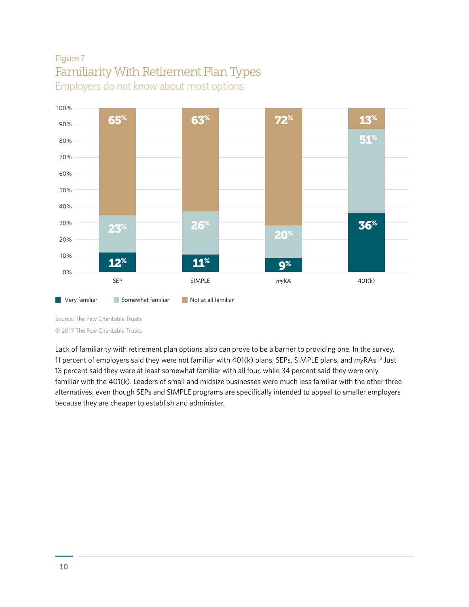# Figure 7 Familiarity With Retirement Plan Types Employers do not know about most options



Source: The Pew Charitable Trusts © 2017 The Pew Charitable Trusts

Lack of familiarity with retirement plan options also can prove to be a barrier to providing one. In the survey, 11 percent of employers said they were not familiar with 401(k) plans, SEPs, SIMPLE plans, and *my*RAs.13 Just 13 percent said they were at least somewhat familiar with all four, while 34 percent said they were only familiar with the 401(k). Leaders of small and midsize businesses were much less familiar with the other three alternatives, even though SEPs and SIMPLE programs are specifically intended to appeal to smaller employers because they are cheaper to establish and administer.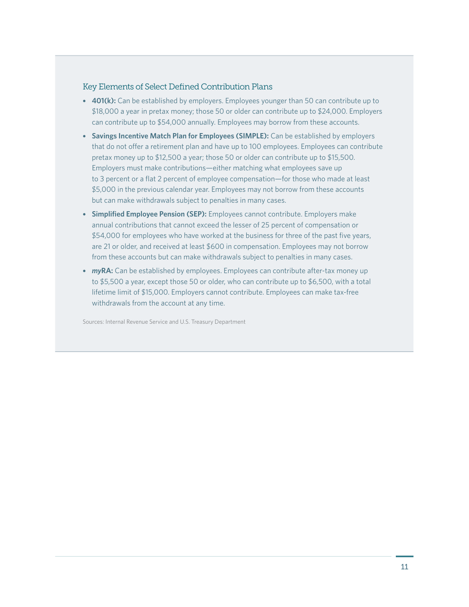#### Key Elements of Select Defined Contribution Plans

- **401(k):** Can be established by employers. Employees younger than 50 can contribute up to \$18,000 a year in pretax money; those 50 or older can contribute up to \$24,000. Employers can contribute up to \$54,000 annually. Employees may borrow from these accounts.
- **Savings Incentive Match Plan for Employees (SIMPLE):** Can be established by employers that do not offer a retirement plan and have up to 100 employees. Employees can contribute pretax money up to \$12,500 a year; those 50 or older can contribute up to \$15,500. Employers must make contributions—either matching what employees save up to 3 percent or a flat 2 percent of employee compensation—for those who made at least \$5,000 in the previous calendar year. Employees may not borrow from these accounts but can make withdrawals subject to penalties in many cases.
- **Simplified Employee Pension (SEP):** Employees cannot contribute. Employers make annual contributions that cannot exceed the lesser of 25 percent of compensation or \$54,000 for employees who have worked at the business for three of the past five years, are 21 or older, and received at least \$600 in compensation. Employees may not borrow from these accounts but can make withdrawals subject to penalties in many cases.
- **myRA:** Can be established by employees. Employees can contribute after-tax money up to \$5,500 a year, except those 50 or older, who can contribute up to \$6,500, with a total lifetime limit of \$15,000. Employers cannot contribute. Employees can make tax-free withdrawals from the account at any time.

Sources: Internal Revenue Service and U.S. Treasury Department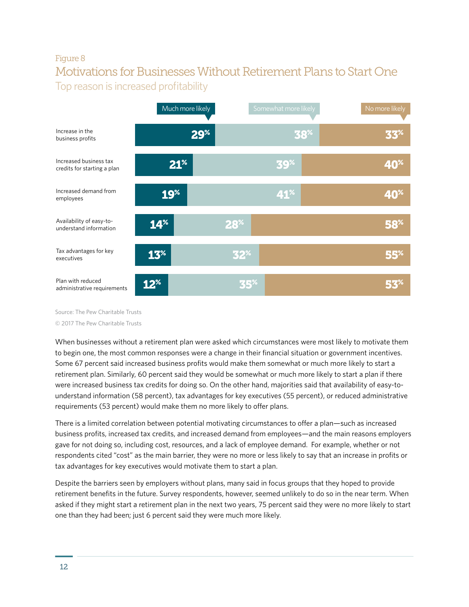### Figure 8 Motivations for Businesses Without Retirement Plans to Start One Top reason is increased profitability



Source: The Pew Charitable Trusts © 2017 The Pew Charitable Trusts

When businesses without a retirement plan were asked which circumstances were most likely to motivate them to begin one, the most common responses were a change in their financial situation or government incentives. Some 67 percent said increased business profits would make them somewhat or much more likely to start a retirement plan. Similarly, 60 percent said they would be somewhat or much more likely to start a plan if there were increased business tax credits for doing so. On the other hand, majorities said that availability of easy-tounderstand information (58 percent), tax advantages for key executives (55 percent), or reduced administrative requirements (53 percent) would make them no more likely to offer plans.

There is a limited correlation between potential motivating circumstances to offer a plan—such as increased business profits, increased tax credits, and increased demand from employees—and the main reasons employers gave for not doing so, including cost, resources, and a lack of employee demand. For example, whether or not respondents cited "cost" as the main barrier, they were no more or less likely to say that an increase in profits or tax advantages for key executives would motivate them to start a plan.

Despite the barriers seen by employers without plans, many said in focus groups that they hoped to provide retirement benefits in the future. Survey respondents, however, seemed unlikely to do so in the near term. When asked if they might start a retirement plan in the next two years, 75 percent said they were no more likely to start one than they had been; just 6 percent said they were much more likely.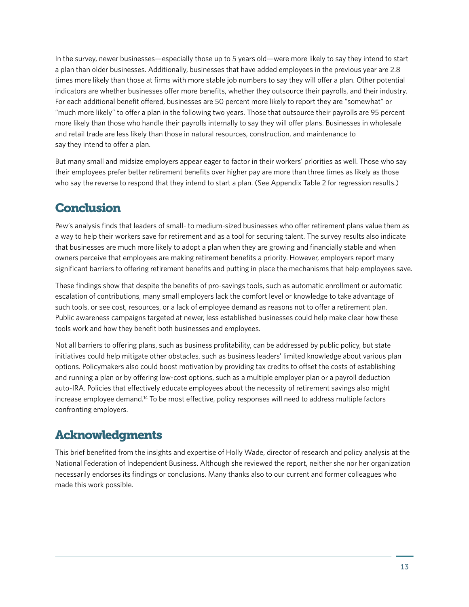In the survey, newer businesses—especially those up to 5 years old—were more likely to say they intend to start a plan than older businesses. Additionally, businesses that have added employees in the previous year are 2.8 times more likely than those at firms with more stable job numbers to say they will offer a plan. Other potential indicators are whether businesses offer more benefits, whether they outsource their payrolls, and their industry. For each additional benefit offered, businesses are 50 percent more likely to report they are "somewhat" or "much more likely" to offer a plan in the following two years. Those that outsource their payrolls are 95 percent more likely than those who handle their payrolls internally to say they will offer plans. Businesses in wholesale and retail trade are less likely than those in natural resources, construction, and maintenance to say they intend to offer a plan.

But many small and midsize employers appear eager to factor in their workers' priorities as well. Those who say their employees prefer better retirement benefits over higher pay are more than three times as likely as those who say the reverse to respond that they intend to start a plan. (See Appendix Table 2 for regression results.)

# **Conclusion**

Pew's analysis finds that leaders of small- to medium-sized businesses who offer retirement plans value them as a way to help their workers save for retirement and as a tool for securing talent. The survey results also indicate that businesses are much more likely to adopt a plan when they are growing and financially stable and when owners perceive that employees are making retirement benefits a priority. However, employers report many significant barriers to offering retirement benefits and putting in place the mechanisms that help employees save.

These findings show that despite the benefits of pro-savings tools, such as automatic enrollment or automatic escalation of contributions, many small employers lack the comfort level or knowledge to take advantage of such tools, or see cost, resources, or a lack of employee demand as reasons not to offer a retirement plan. Public awareness campaigns targeted at newer, less established businesses could help make clear how these tools work and how they benefit both businesses and employees.

Not all barriers to offering plans, such as business profitability, can be addressed by public policy, but state initiatives could help mitigate other obstacles, such as business leaders' limited knowledge about various plan options. Policymakers also could boost motivation by providing tax credits to offset the costs of establishing and running a plan or by offering low-cost options, such as a multiple employer plan or a payroll deduction auto-IRA. Policies that effectively educate employees about the necessity of retirement savings also might increase employee demand.14 To be most effective, policy responses will need to address multiple factors confronting employers.

# Acknowledgments

This brief benefited from the insights and expertise of Holly Wade, director of research and policy analysis at the National Federation of Independent Business. Although she reviewed the report, neither she nor her organization necessarily endorses its findings or conclusions. Many thanks also to our current and former colleagues who made this work possible.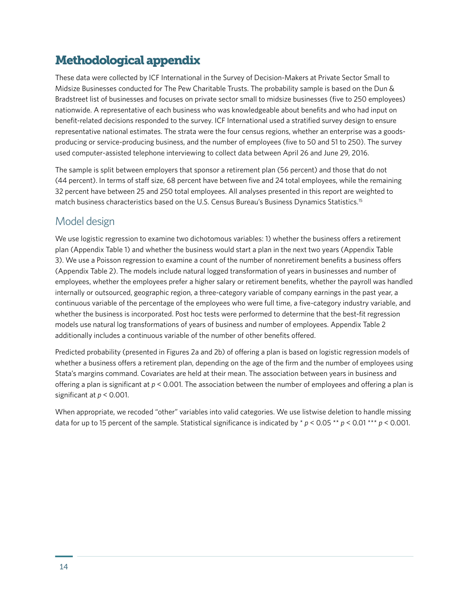# Methodological appendix

These data were collected by ICF International in the Survey of Decision-Makers at Private Sector Small to Midsize Businesses conducted for The Pew Charitable Trusts. The probability sample is based on the Dun & Bradstreet list of businesses and focuses on private sector small to midsize businesses (five to 250 employees) nationwide. A representative of each business who was knowledgeable about benefits and who had input on benefit-related decisions responded to the survey. ICF International used a stratified survey design to ensure representative national estimates. The strata were the four census regions, whether an enterprise was a goodsproducing or service-producing business, and the number of employees (five to 50 and 51 to 250). The survey used computer-assisted telephone interviewing to collect data between April 26 and June 29, 2016.

The sample is split between employers that sponsor a retirement plan (56 percent) and those that do not (44 percent). In terms of staff size, 68 percent have between five and 24 total employees, while the remaining 32 percent have between 25 and 250 total employees. All analyses presented in this report are weighted to match business characteristics based on the U.S. Census Bureau's Business Dynamics Statistics.15

### Model design

We use logistic regression to examine two dichotomous variables: 1) whether the business offers a retirement plan (Appendix Table 1) and whether the business would start a plan in the next two years (Appendix Table 3). We use a Poisson regression to examine a count of the number of nonretirement benefits a business offers (Appendix Table 2). The models include natural logged transformation of years in businesses and number of employees, whether the employees prefer a higher salary or retirement benefits, whether the payroll was handled internally or outsourced, geographic region, a three-category variable of company earnings in the past year, a continuous variable of the percentage of the employees who were full time, a five-category industry variable, and whether the business is incorporated. Post hoc tests were performed to determine that the best-fit regression models use natural log transformations of years of business and number of employees. Appendix Table 2 additionally includes a continuous variable of the number of other benefits offered.

Predicted probability (presented in Figures 2a and 2b) of offering a plan is based on logistic regression models of whether a business offers a retirement plan, depending on the age of the firm and the number of employees using Stata's margins command. Covariates are held at their mean. The association between years in business and offering a plan is significant at *p* < 0.001. The association between the number of employees and offering a plan is significant at *p* < 0.001.

When appropriate, we recoded "other" variables into valid categories. We use listwise deletion to handle missing data for up to 15 percent of the sample. Statistical significance is indicated by \* *p* < 0.05 \*\* *p* < 0.01 \*\*\* *p* < 0.001.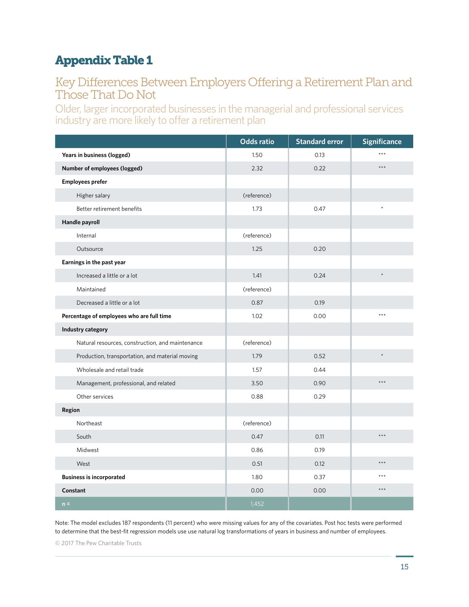# Appendix Table 1

### Key Differences Between Employers Offering a Retirement Plan and Those That Do Not

Older, larger incorporated businesses in the managerial and professional services industry are more likely to offer a retirement plan

|                                                  | <b>Odds ratio</b> | <b>Standard error</b> | <b>Significance</b> |
|--------------------------------------------------|-------------------|-----------------------|---------------------|
| Years in business (logged)                       | 1.50              | 0.13                  | ***                 |
| Number of employees (logged)                     | 2.32              | 0.22                  | $***$               |
| <b>Employees prefer</b>                          |                   |                       |                     |
| Higher salary                                    | (reference)       |                       |                     |
| Better retirement benefits                       | 1.73              | 0.47                  |                     |
| Handle payroll                                   |                   |                       |                     |
| Internal                                         | (reference)       |                       |                     |
| Outsource                                        | 1.25              | 0.20                  |                     |
| Earnings in the past year                        |                   |                       |                     |
| Increased a little or a lot                      | 1.41              | 0.24                  | $\star$             |
| Maintained                                       | (reference)       |                       |                     |
| Decreased a little or a lot                      | 0.87              | 0.19                  |                     |
| Percentage of employees who are full time        | 1.02              | 0.00                  | ***                 |
| Industry category                                |                   |                       |                     |
| Natural resources, construction, and maintenance | (reference)       |                       |                     |
| Production, transportation, and material moving  | 1.79              | 0.52                  | $\star$             |
| Wholesale and retail trade                       | 1.57              | 0.44                  |                     |
| Management, professional, and related            | 3.50              | 0.90                  | $***$               |
| Other services                                   | 0.88              | 0.29                  |                     |
| Region                                           |                   |                       |                     |
| Northeast                                        | (reference)       |                       |                     |
| South                                            | 0.47              | 0.11                  | $***$               |
| Midwest                                          | 0.86              | 0.19                  |                     |
| West                                             | 0.51              | 0.12                  | $***$               |
| <b>Business is incorporated</b>                  | 1.80              | 0.37                  | ***                 |
| Constant                                         | 0.00              | 0.00                  | $***$               |
| $n =$                                            | 1,452             |                       |                     |

Note: The model excludes 187 respondents (11 percent) who were missing values for any of the covariates. Post hoc tests were performed to determine that the best-fit regression models use use natural log transformations of years in business and number of employees.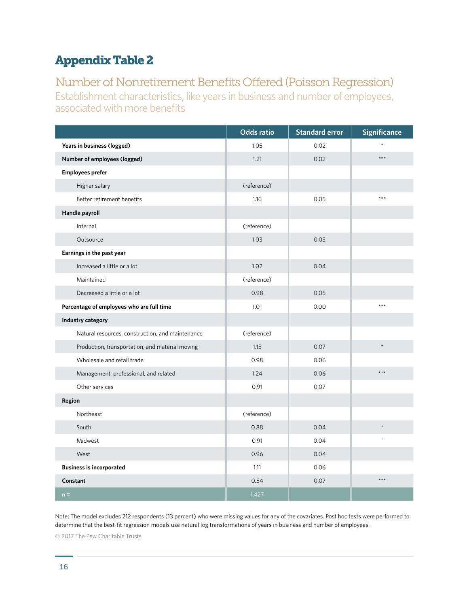# Appendix Table 2

### Number of Nonretirement Benefits Offered (Poisson Regression) Establishment characteristics, like years in business and number of employees, associated with more benefits

|                                                  | <b>Odds ratio</b> | <b>Standard error</b> | <b>Significance</b> |
|--------------------------------------------------|-------------------|-----------------------|---------------------|
| Years in business (logged)                       | 1.05              | 0.02                  |                     |
| Number of employees (logged)                     | 1.21              | 0.02                  | $***$               |
| <b>Employees prefer</b>                          |                   |                       |                     |
| Higher salary                                    | (reference)       |                       |                     |
| Better retirement benefits                       | 1.16              | 0.05                  | $***$               |
| Handle payroll                                   |                   |                       |                     |
| Internal                                         | (reference)       |                       |                     |
| Outsource                                        | 1.03              | 0.03                  |                     |
| Earnings in the past year                        |                   |                       |                     |
| Increased a little or a lot                      | 1.02              | 0.04                  |                     |
| Maintained                                       | (reference)       |                       |                     |
| Decreased a little or a lot                      | 0.98              | 0.05                  |                     |
| Percentage of employees who are full time        | 1.01              | 0.00                  | $***$               |
| Industry category                                |                   |                       |                     |
| Natural resources, construction, and maintenance | (reference)       |                       |                     |
| Production, transportation, and material moving  | 1.15              | 0.07                  | $\star$             |
| Wholesale and retail trade                       | 0.98              | 0.06                  |                     |
| Management, professional, and related            | 1.24              | 0.06                  | $\star\star\star$   |
| Other services                                   | 0.91              | 0.07                  |                     |
| Region                                           |                   |                       |                     |
| Northeast                                        | (reference)       |                       |                     |
| South                                            | 0.88              | 0.04                  |                     |
| Midwest                                          | 0.91              | 0.04                  |                     |
| West                                             | 0.96              | 0.04                  |                     |
| <b>Business is incorporated</b>                  | 1.11              | 0.06                  |                     |
| Constant                                         | 0.54              | 0.07                  | $***$               |
| $n =$                                            | 1,427             |                       |                     |

Note: The model excludes 212 respondents (13 percent) who were missing values for any of the covariates. Post hoc tests were performed to determine that the best-fit regression models use natural log transformations of years in business and number of employees.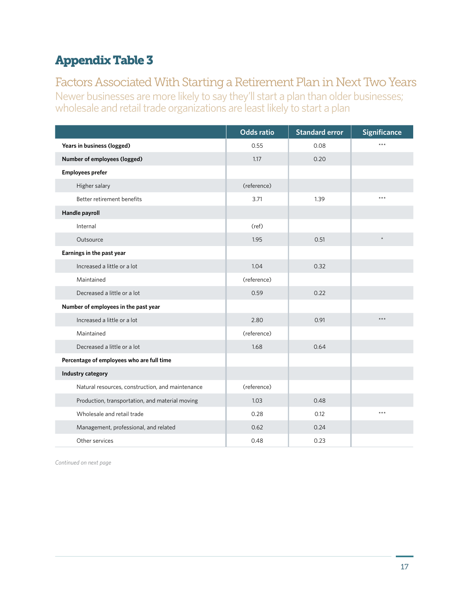# Appendix Table 3

# Factors Associated With Starting a Retirement Plan in Next Two Years

Newer businesses are more likely to say they'll start a plan than older businesses; wholesale and retail trade organizations are least likely to start a plan

|                                                  | <b>Odds ratio</b> | <b>Standard error</b> | <b>Significance</b> |
|--------------------------------------------------|-------------------|-----------------------|---------------------|
| Years in business (logged)                       | 0.55              | 0.08                  | ***                 |
| Number of employees (logged)                     | 1.17              | 0.20                  |                     |
| <b>Employees prefer</b>                          |                   |                       |                     |
| Higher salary                                    | (reference)       |                       |                     |
| Better retirement benefits                       | 3.71              | 1.39                  | $***$               |
| Handle payroll                                   |                   |                       |                     |
| Internal                                         | (ref)             |                       |                     |
| Outsource                                        | 1.95              | 0.51                  | $\star$             |
| Earnings in the past year                        |                   |                       |                     |
| Increased a little or a lot                      | 1.04              | 0.32                  |                     |
| Maintained                                       | (reference)       |                       |                     |
| Decreased a little or a lot                      | 0.59              | 0.22                  |                     |
| Number of employees in the past year             |                   |                       |                     |
| Increased a little or a lot                      | 2.80              | 0.91                  | $***$               |
| Maintained                                       | (reference)       |                       |                     |
| Decreased a little or a lot                      | 1.68              | 0.64                  |                     |
| Percentage of employees who are full time        |                   |                       |                     |
| Industry category                                |                   |                       |                     |
| Natural resources, construction, and maintenance | (reference)       |                       |                     |
| Production, transportation, and material moving  | 1.03              | 0.48                  |                     |
| Wholesale and retail trade                       | 0.28              | 0.12                  | $***$               |
| Management, professional, and related            | 0.62              | 0.24                  |                     |
| Other services                                   | 0.48              | 0.23                  |                     |

*Continued on next page*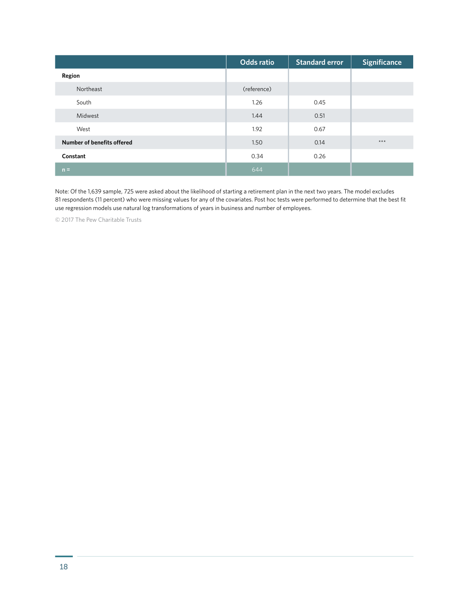|                            | <b>Odds ratio</b> | <b>Standard error</b> | <b>Significance</b> |
|----------------------------|-------------------|-----------------------|---------------------|
| Region                     |                   |                       |                     |
| Northeast                  | (reference)       |                       |                     |
| South                      | 1.26              | 0.45                  |                     |
| Midwest                    | 1.44              | 0.51                  |                     |
| West                       | 1.92              | 0.67                  |                     |
| Number of benefits offered | 1.50              | 0.14                  | $***$               |
| Constant                   | 0.34              | 0.26                  |                     |
| $n =$                      | 644               |                       |                     |

Note: Of the 1,639 sample, 725 were asked about the likelihood of starting a retirement plan in the next two years. The model excludes 81 respondents (11 percent) who were missing values for any of the covariates. Post hoc tests were performed to determine that the best fit use regression models use natural log transformations of years in business and number of employees.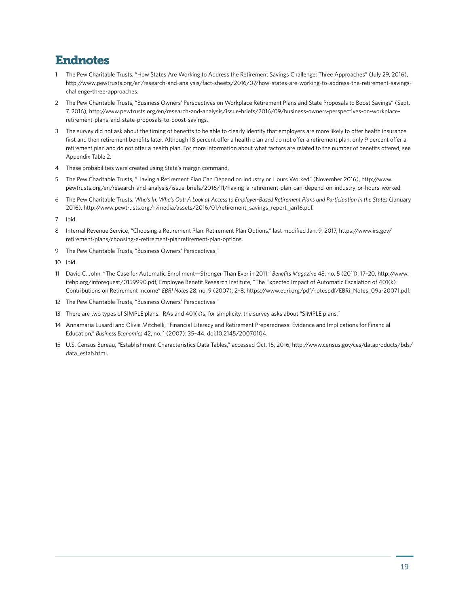### Endnotes

- 1 The Pew Charitable Trusts, "How States Are Working to Address the Retirement Savings Challenge: Three Approaches" (July 29, 2016), http://www.pewtrusts.org/en/research-and-analysis/fact-sheets/2016/07/how-states-are-working-to-address-the-retirement-savingschallenge-three-approaches.
- 2 The Pew Charitable Trusts, "Business Owners' Perspectives on Workplace Retirement Plans and State Proposals to Boost Savings" (Sept. 7, 2016), http://www.pewtrusts.org/en/research-and-analysis/issue-briefs/2016/09/business-owners-perspectives-on-workplaceretirement-plans-and-state-proposals-to-boost-savings.
- 3 The survey did not ask about the timing of benefits to be able to clearly identify that employers are more likely to offer health insurance first and then retirement benefits later. Although 18 percent offer a health plan and do not offer a retirement plan, only 9 percent offer a retirement plan and do not offer a health plan. For more information about what factors are related to the number of benefits offered, see Appendix Table 2.
- 4 These probabilities were created using Stata's margin command.
- 5 The Pew Charitable Trusts, "Having a Retirement Plan Can Depend on Industry or Hours Worked" (November 2016), http://www. pewtrusts.org/en/research-and-analysis/issue-briefs/2016/11/having-a-retirement-plan-can-depend-on-industry-or-hours-worked.
- 6 The Pew Charitable Trusts, *Who's In, Who's Out: A Look at Access to Employer-Based Retirement Plans and Participation in the States* (January 2016), http://www.pewtrusts.org/~/media/assets/2016/01/retirement\_savings\_report\_jan16.pdf.

7 Ibid.

- 8 Internal Revenue Service, "Choosing a Retirement Plan: Retirement Plan Options," last modified Jan. 9, 2017, https://www.irs.gov/ retirement-plans/choosing-a-retirement-planretirement-plan-options.
- 9 The Pew Charitable Trusts, "Business Owners' Perspectives."

10 Ibid.

- 11 David C. John, "The Case for Automatic Enrollment—Stronger Than Ever in 2011," *Benefits Magazine* 48, no. 5 (2011): 17–20, http://www. ifebp.org/inforequest/0159990.pdf; Employee Benefit Research Institute, "The Expected Impact of Automatic Escalation of 401(k) Contributions on Retirement Income" *EBRI Notes* 28, no. 9 (2007): 2–8, https://www.ebri.org/pdf/notespdf/EBRi\_Notes\_09a-20071.pdf.
- 12 The Pew Charitable Trusts, "Business Owners' Perspectives."
- 13 There are two types of SIMPLE plans: IRAs and 401(k)s; for simplicity, the survey asks about "SIMPLE plans."
- 14 Annamaria Lusardi and Olivia Mitchelli, "Financial Literacy and Retirement Preparedness: Evidence and Implications for Financial Education," *Business Economics* 42, no. 1 (2007): 35–44, doi:10.2145/20070104.
- 15 U.S. Census Bureau, "Establishment Characteristics Data Tables," accessed Oct. 15, 2016, http://www.census.gov/ces/dataproducts/bds/ data\_estab.html.